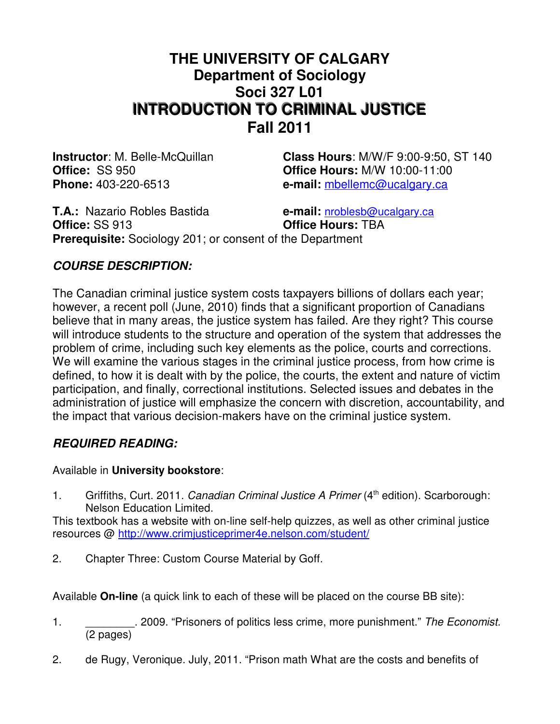# **THE UNIVERSITY OF CALGARY Department of Sociology Soci 327 L01 INTRODUCTION TO CRIMINAL JUSTICE Fall 2011**

**Instructor**: M. Belle-McQuillan **Class Hours**: M/W/F 9:00-9:50, ST 140 **Office:** SS 950 **Office Hours:** M/W 10:00-11:00 **Phone:** 403-220-6513 **e-mail:** mbellemc@ucalgary.ca

**T.A.:** Nazario Robles Bastida **e-mail:** nroblesb@ucalgary.ca **Office:** SS 913 **Office Hours:** TBA **Prerequisite:** Sociology 201; or consent of the Department

# **COURSE DESCRIPTION:**

The Canadian criminal justice system costs taxpayers billions of dollars each year; however, a recent poll (June, 2010) finds that a significant proportion of Canadians believe that in many areas, the justice system has failed. Are they right? This course will introduce students to the structure and operation of the system that addresses the problem of crime, including such key elements as the police, courts and corrections. We will examine the various stages in the criminal justice process, from how crime is defined, to how it is dealt with by the police, the courts, the extent and nature of victim participation, and finally, correctional institutions. Selected issues and debates in the administration of justice will emphasize the concern with discretion, accountability, and the impact that various decision-makers have on the criminal justice system.

# **REQUIRED READING:**

Available in **University bookstore**:

1. Griffiths, Curt. 2011. Canadian Criminal Justice A Primer (4<sup>th</sup> edition). Scarborough: Nelson Education Limited.

This textbook has a website with on-line self-help quizzes, as well as other criminal justice resources @ http://www.crimjusticeprimer4e.nelson.com/student/

2. Chapter Three: Custom Course Material by Goff.

Available **On-line** (a quick link to each of these will be placed on the course BB site):

- 1. \_\_\_\_\_\_\_\_\_\_\_. 2009. "Prisoners of politics less crime, more punishment." The Economist. (2 pages)
- 2. de Rugy, Veronique. July, 2011. "Prison math What are the costs and benefits of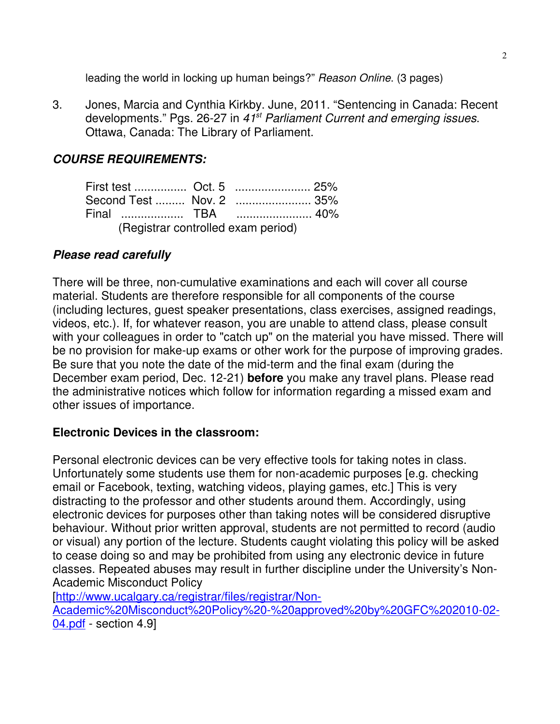leading the world in locking up human beings?" Reason Online. (3 pages)

3. Jones, Marcia and Cynthia Kirkby. June, 2011. "Sentencing in Canada: Recent developments." Pgs. 26-27 in 41<sup>st</sup> Parliament Current and emerging issues. Ottawa, Canada: The Library of Parliament.

# **COURSE REQUIREMENTS:**

|                                    |  |  | Second Test  Nov. 2  35% |  |  |
|------------------------------------|--|--|--------------------------|--|--|
|                                    |  |  |                          |  |  |
| (Registrar controlled exam period) |  |  |                          |  |  |

# **Please read carefully**

There will be three, non-cumulative examinations and each will cover all course material. Students are therefore responsible for all components of the course (including lectures, guest speaker presentations, class exercises, assigned readings, videos, etc.). If, for whatever reason, you are unable to attend class, please consult with your colleagues in order to "catch up" on the material you have missed. There will be no provision for make-up exams or other work for the purpose of improving grades. Be sure that you note the date of the mid-term and the final exam (during the December exam period, Dec. 12-21) **before** you make any travel plans. Please read the administrative notices which follow for information regarding a missed exam and other issues of importance.

# **Electronic Devices in the classroom:**

Personal electronic devices can be very effective tools for taking notes in class. Unfortunately some students use them for non-academic purposes [e.g. checking email or Facebook, texting, watching videos, playing games, etc.] This is very distracting to the professor and other students around them. Accordingly, using electronic devices for purposes other than taking notes will be considered disruptive behaviour. Without prior written approval, students are not permitted to record (audio or visual) any portion of the lecture. Students caught violating this policy will be asked to cease doing so and may be prohibited from using any electronic device in future classes. Repeated abuses may result in further discipline under the University's Non-Academic Misconduct Policy

[http://www.ucalgary.ca/registrar/files/registrar/Non-

Academic%20Misconduct%20Policy%20-%20approved%20by%20GFC%202010-02- 04.pdf - section 4.9]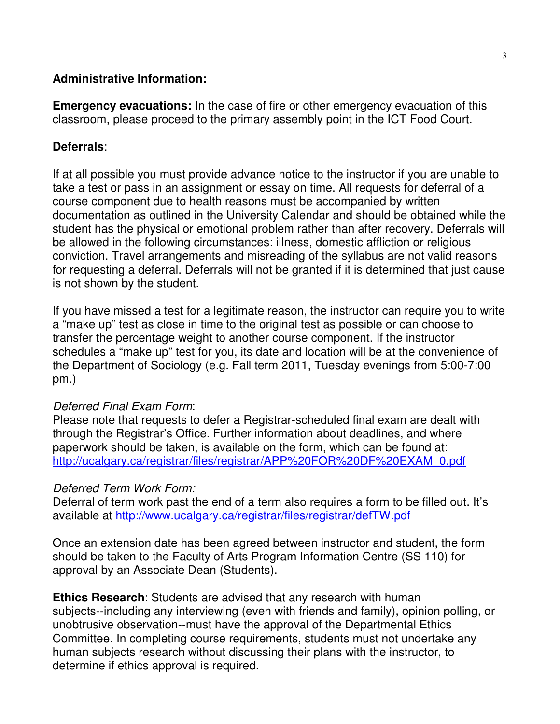### **Administrative Information:**

**Emergency evacuations:** In the case of fire or other emergency evacuation of this classroom, please proceed to the primary assembly point in the ICT Food Court.

### **Deferrals**:

If at all possible you must provide advance notice to the instructor if you are unable to take a test or pass in an assignment or essay on time. All requests for deferral of a course component due to health reasons must be accompanied by written documentation as outlined in the University Calendar and should be obtained while the student has the physical or emotional problem rather than after recovery. Deferrals will be allowed in the following circumstances: illness, domestic affliction or religious conviction. Travel arrangements and misreading of the syllabus are not valid reasons for requesting a deferral. Deferrals will not be granted if it is determined that just cause is not shown by the student.

If you have missed a test for a legitimate reason, the instructor can require you to write a "make up" test as close in time to the original test as possible or can choose to transfer the percentage weight to another course component. If the instructor schedules a "make up" test for you, its date and location will be at the convenience of the Department of Sociology (e.g. Fall term 2011, Tuesday evenings from 5:00-7:00 pm.)

#### Deferred Final Exam Form:

Please note that requests to defer a Registrar-scheduled final exam are dealt with through the Registrar's Office. Further information about deadlines, and where paperwork should be taken, is available on the form, which can be found at: http://ucalgary.ca/registrar/files/registrar/APP%20FOR%20DF%20EXAM\_0.pdf

#### Deferred Term Work Form:

Deferral of term work past the end of a term also requires a form to be filled out. It's available at http://www.ucalgary.ca/registrar/files/registrar/defTW.pdf

Once an extension date has been agreed between instructor and student, the form should be taken to the Faculty of Arts Program Information Centre (SS 110) for approval by an Associate Dean (Students).

**Ethics Research**: Students are advised that any research with human subjects--including any interviewing (even with friends and family), opinion polling, or unobtrusive observation--must have the approval of the Departmental Ethics Committee. In completing course requirements, students must not undertake any human subjects research without discussing their plans with the instructor, to determine if ethics approval is required.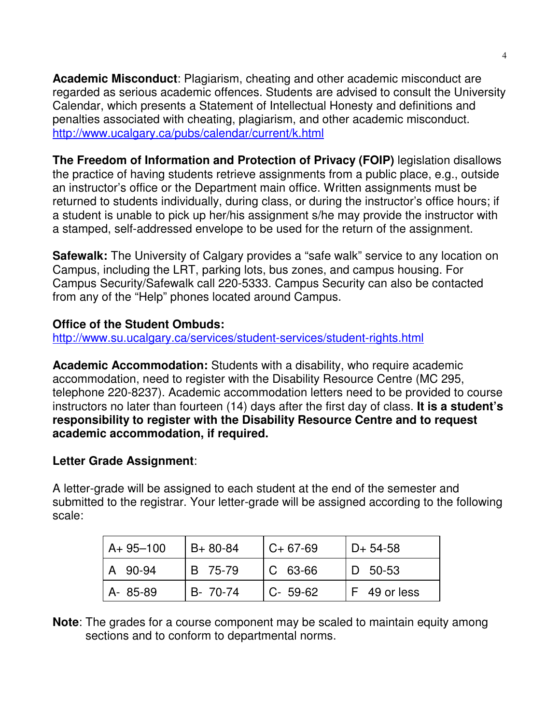**Academic Misconduct**: Plagiarism, cheating and other academic misconduct are regarded as serious academic offences. Students are advised to consult the University Calendar, which presents a Statement of Intellectual Honesty and definitions and penalties associated with cheating, plagiarism, and other academic misconduct. http://www.ucalgary.ca/pubs/calendar/current/k.html

**The Freedom of Information and Protection of Privacy (FOIP)** legislation disallows the practice of having students retrieve assignments from a public place, e.g., outside an instructor's office or the Department main office. Written assignments must be returned to students individually, during class, or during the instructor's office hours; if a student is unable to pick up her/his assignment s/he may provide the instructor with a stamped, self-addressed envelope to be used for the return of the assignment.

**Safewalk:** The University of Calgary provides a "safe walk" service to any location on Campus, including the LRT, parking lots, bus zones, and campus housing. For Campus Security/Safewalk call 220-5333. Campus Security can also be contacted from any of the "Help" phones located around Campus.

# **Office of the Student Ombuds:**

http://www.su.ucalgary.ca/services/student-services/student-rights.html

**Academic Accommodation:** Students with a disability, who require academic accommodation, need to register with the Disability Resource Centre (MC 295, telephone 220-8237). Academic accommodation letters need to be provided to course instructors no later than fourteen (14) days after the first day of class. **It is a student's responsibility to register with the Disability Resource Centre and to request academic accommodation, if required.**

# **Letter Grade Assignment**:

A letter-grade will be assigned to each student at the end of the semester and submitted to the registrar. Your letter-grade will be assigned according to the following scale:

| $A+95-100$ | $B + 80 - 84$ | $C+67-69$   | $D+ 54-58$   |
|------------|---------------|-------------|--------------|
| A 90-94    | B 75-79       | $ C 63-66 $ | ID 50-53     |
| A-85-89    | B- 70-74      | $C - 59-62$ | F 49 or less |

**Note**: The grades for a course component may be scaled to maintain equity among sections and to conform to departmental norms.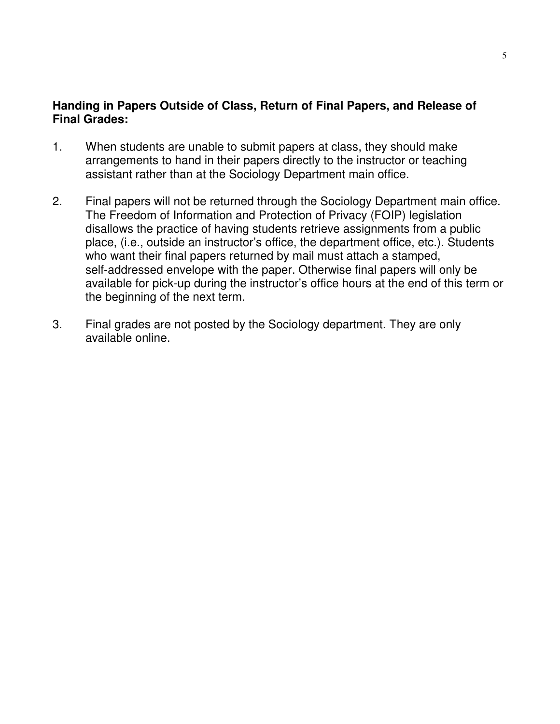### **Handing in Papers Outside of Class, Return of Final Papers, and Release of Final Grades:**

- 1. When students are unable to submit papers at class, they should make arrangements to hand in their papers directly to the instructor or teaching assistant rather than at the Sociology Department main office.
- 2. Final papers will not be returned through the Sociology Department main office. The Freedom of Information and Protection of Privacy (FOIP) legislation disallows the practice of having students retrieve assignments from a public place, (i.e., outside an instructor's office, the department office, etc.). Students who want their final papers returned by mail must attach a stamped, self-addressed envelope with the paper. Otherwise final papers will only be available for pick-up during the instructor's office hours at the end of this term or the beginning of the next term.
- 3. Final grades are not posted by the Sociology department. They are only available online.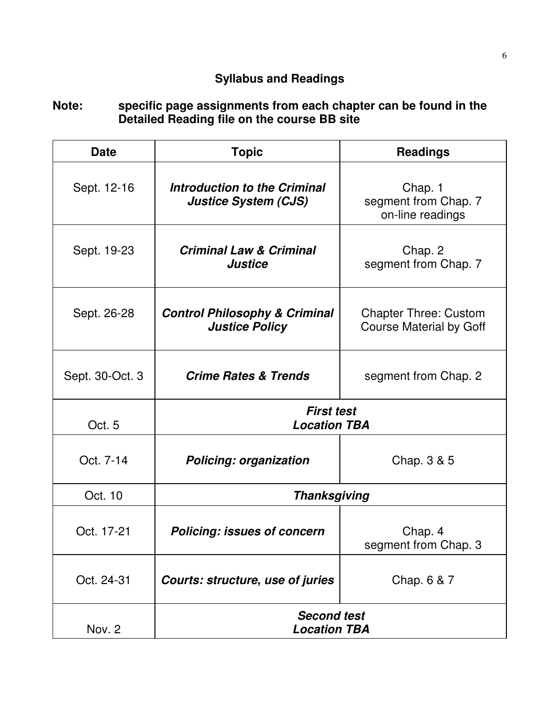# **Syllabus and Readings**

### **Note: specific page assignments from each chapter can be found in the Detailed Reading file on the course BB site**

| <b>Date</b>     | <b>Topic</b>                                                       | <b>Readings</b>                                                |  |
|-----------------|--------------------------------------------------------------------|----------------------------------------------------------------|--|
| Sept. 12-16     | <b>Introduction to the Criminal</b><br><b>Justice System (CJS)</b> | Chap. 1<br>segment from Chap. 7<br>on-line readings            |  |
| Sept. 19-23     | <b>Criminal Law &amp; Criminal</b><br><b>Justice</b>               | Chap. 2<br>segment from Chap. 7                                |  |
| Sept. 26-28     | <b>Control Philosophy &amp; Criminal</b><br><b>Justice Policy</b>  | <b>Chapter Three: Custom</b><br><b>Course Material by Goff</b> |  |
| Sept. 30-Oct. 3 | <b>Crime Rates &amp; Trends</b>                                    | segment from Chap. 2                                           |  |
| Oct. 5          | <b>First test</b><br><b>Location TBA</b>                           |                                                                |  |
| Oct. 7-14       | <b>Policing: organization</b>                                      | Chap. 3 & 5                                                    |  |
| Oct. 10         | <b>Thanksgiving</b>                                                |                                                                |  |
| Oct. 17-21      | <b>Policing: issues of concern</b>                                 | Chap. 4<br>segment from Chap. 3                                |  |
| Oct. 24-31      | Courts: structure, use of juries                                   | Chap. 6 & 7                                                    |  |
| Nov. 2          | <b>Second test</b><br><b>Location TBA</b>                          |                                                                |  |